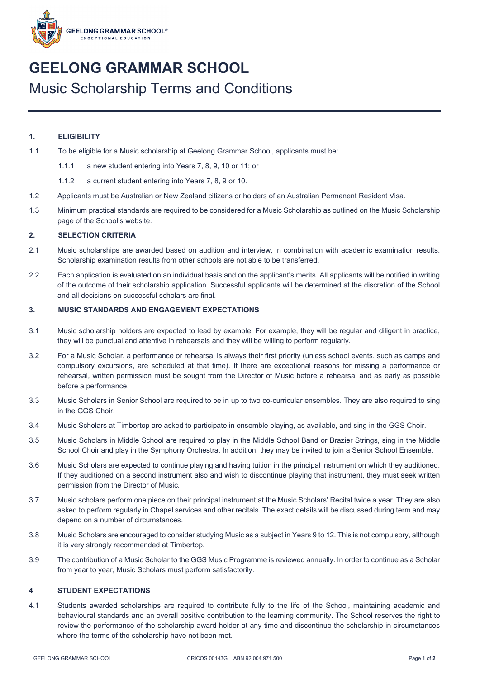

# **GEELONG GRAMMAR SCHOOL** Music Scholarship Terms and Conditions

## **1. ELIGIBILITY**

- 1.1 To be eligible for a Music scholarship at Geelong Grammar School, applicants must be:
	- 1.1.1 a new student entering into Years 7, 8, 9, 10 or 11; or
	- 1.1.2 a current student entering into Years 7, 8, 9 or 10.
- 1.2 Applicants must be Australian or New Zealand citizens or holders of an Australian Permanent Resident Visa.
- 1.3 Minimum practical standards are required to be considered for a Music Scholarship as outlined on the Music Scholarship page of the School's website.

#### **2. SELECTION CRITERIA**

- 2.1 Music scholarships are awarded based on audition and interview, in combination with academic examination results. Scholarship examination results from other schools are not able to be transferred.
- 2.2 Each application is evaluated on an individual basis and on the applicant's merits. All applicants will be notified in writing of the outcome of their scholarship application. Successful applicants will be determined at the discretion of the School and all decisions on successful scholars are final.

#### **3. MUSIC STANDARDS AND ENGAGEMENT EXPECTATIONS**

- 3.1 Music scholarship holders are expected to lead by example. For example, they will be regular and diligent in practice, they will be punctual and attentive in rehearsals and they will be willing to perform regularly.
- 3.2 For a Music Scholar, a performance or rehearsal is always their first priority (unless school events, such as camps and compulsory excursions, are scheduled at that time). If there are exceptional reasons for missing a performance or rehearsal, written permission must be sought from the Director of Music before a rehearsal and as early as possible before a performance.
- 3.3 Music Scholars in Senior School are required to be in up to two co-curricular ensembles. They are also required to sing in the GGS Choir.
- 3.4 Music Scholars at Timbertop are asked to participate in ensemble playing, as available, and sing in the GGS Choir.
- 3.5 Music Scholars in Middle School are required to play in the Middle School Band or Brazier Strings, sing in the Middle School Choir and play in the Symphony Orchestra. In addition, they may be invited to join a Senior School Ensemble.
- 3.6 Music Scholars are expected to continue playing and having tuition in the principal instrument on which they auditioned. If they auditioned on a second instrument also and wish to discontinue playing that instrument, they must seek written permission from the Director of Music.
- 3.7 Music scholars perform one piece on their principal instrument at the Music Scholars' Recital twice a year. They are also asked to perform regularly in Chapel services and other recitals. The exact details will be discussed during term and may depend on a number of circumstances.
- 3.8 Music Scholars are encouraged to consider studying Music as a subject in Years 9 to 12. This is not compulsory, although it is very strongly recommended at Timbertop.
- 3.9 The contribution of a Music Scholar to the GGS Music Programme is reviewed annually. In order to continue as a Scholar from year to year, Music Scholars must perform satisfactorily.

#### **4 STUDENT EXPECTATIONS**

4.1 Students awarded scholarships are required to contribute fully to the life of the School, maintaining academic and behavioural standards and an overall positive contribution to the learning community. The School reserves the right to review the performance of the scholarship award holder at any time and discontinue the scholarship in circumstances where the terms of the scholarship have not been met.